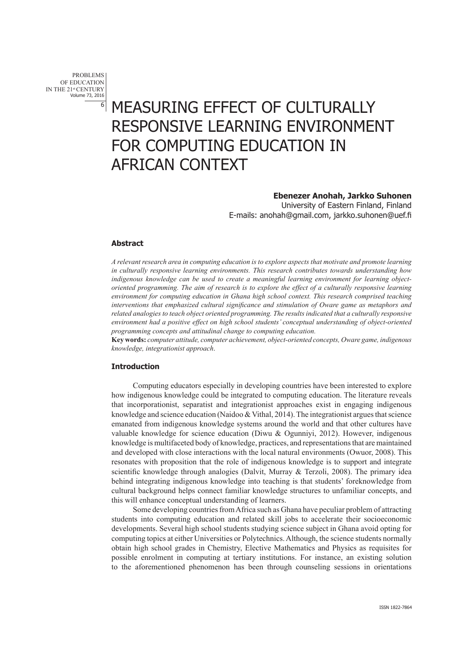PROBLEMS OF EDUCATION IN THE 21<sup>st</sup> CENTURY<br>Volume 73, 2016 6

# MEASURING EFFECT OF CULTURALLY RESPONSIVE LEARNING ENVIRONMENT FOR COMPUTING EDUCATION IN AFRICAN CONTEXT

# **Ebenezer Anohah, Jarkko Suhonen**

 University of Eastern Finland, Finland E-mails: anohah@gmail.com, jarkko.suhonen@uef.fi

## **Abstract**

*A relevant research area in computing education is to explore aspects that motivate and promote learning in culturally responsive learning environments. This research contributes towards understanding how indigenous knowledge can be used to create a meaningful learning environment for learning objectoriented programming. The aim of research is to explore the effect of a culturally responsive learning environment for computing education in Ghana high school context. This research comprised teaching interventions that emphasized cultural significance and stimulation of Oware game as metaphors and related analogies to teach object oriented programming. The results indicated that a culturally responsive environment had a positive effect on high school students' conceptual understanding of object-oriented programming concepts and attitudinal change to computing education.* 

**Key words:** *computer attitude, computer achievement, object-oriented concepts, Oware game, indigenous knowledge, integrationist approach*.

## **Introduction**

Computing educators especially in developing countries have been interested to explore how indigenous knowledge could be integrated to computing education. The literature reveals that incorporationist, separatist and integrationist approaches exist in engaging indigenous knowledge and science education (Naidoo  $&$  Vithal, 2014). The integrationist argues that science emanated from indigenous knowledge systems around the world and that other cultures have valuable knowledge for science education (Diwu & Ogunniyi, 2012). However, indigenous knowledge is multifaceted body of knowledge, practices, and representations that are maintained and developed with close interactions with the local natural environments (Owuor, 2008). This resonates with proposition that the role of indigenous knowledge is to support and integrate scientific knowledge through analogies (Dalvit, Murray  $\&$  Terzoli, 2008). The primary idea behind integrating indigenous knowledge into teaching is that students' foreknowledge from cultural background helps connect familiar knowledge structures to unfamiliar concepts, and this will enhance conceptual understanding of learners.

Some developing countries from Africa such as Ghana have peculiar problem of attracting students into computing education and related skill jobs to accelerate their socioeconomic developments. Several high school students studying science subject in Ghana avoid opting for computing topics at either Universities or Polytechnics. Although, the science students normally obtain high school grades in Chemistry, Elective Mathematics and Physics as requisites for possible enrolment in computing at tertiary institutions. For instance, an existing solution to the aforementioned phenomenon has been through counseling sessions in orientations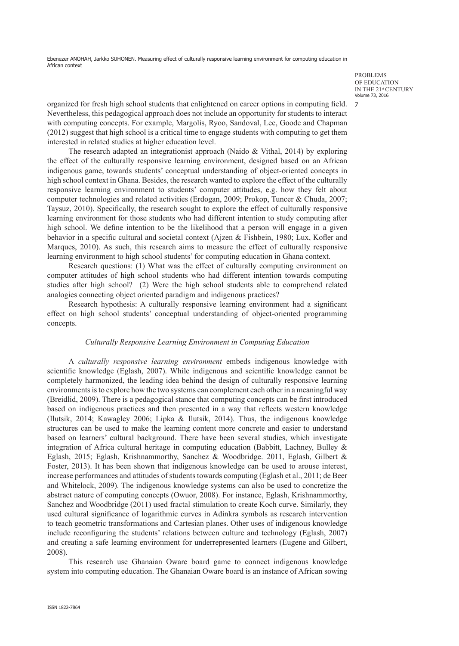> PROBLEMS OF EDUCATION IN THE 21st CENTURY<br>Volume 73, 2016 7

organized for fresh high school students that enlightened on career options in computing field. Nevertheless, this pedagogical approach does not include an opportunity for students to interact with computing concepts. For example, Margolis, Ryoo, Sandoval, Lee, Goode and Chapman (2012) suggest that high school is a critical time to engage students with computing to get them interested in related studies at higher education level.

The research adapted an integrationist approach (Naido & Vithal, 2014) by exploring the effect of the culturally responsive learning environment, designed based on an African indigenous game, towards students' conceptual understanding of object-oriented concepts in high school context in Ghana. Besides, the research wanted to explore the effect of the culturally responsive learning environment to students' computer attitudes, e.g. how they felt about computer technologies and related activities (Erdogan, 2009; Prokop, Tuncer & Chuda, 2007; Taysuz, 2010). Specifically, the research sought to explore the effect of culturally responsive learning environment for those students who had different intention to study computing after high school. We define intention to be the likelihood that a person will engage in a given behavior in a specific cultural and societal context (Ajzen & Fishbein, 1980; Lux, Kofler and Marques, 2010). As such, this research aims to measure the effect of culturally responsive learning environment to high school students' for computing education in Ghana context.

Research questions: (1) What was the effect of culturally computing environment on computer attitudes of high school students who had different intention towards computing studies after high school? (2) Were the high school students able to comprehend related analogies connecting object oriented paradigm and indigenous practices?

Research hypothesis: A culturally responsive learning environment had a significant effect on high school students' conceptual understanding of object-oriented programming concepts.

## *Culturally Responsive Learning Environment in Computing Education*

A *culturally responsive learning environment* embeds indigenous knowledge with scientific knowledge (Eglash, 2007). While indigenous and scientific knowledge cannot be completely harmonized, the leading idea behind the design of culturally responsive learning environments is to explore how the two systems can complement each other in a meaningful way (Breidlid, 2009). There is a pedagogical stance that computing concepts can be first introduced based on indigenous practices and then presented in a way that reflects western knowledge (Ilutsik, 2014; Kawagley 2006; Lipka & Ilutsik, 2014). Thus, the indigenous knowledge structures can be used to make the learning content more concrete and easier to understand based on learners' cultural background. There have been several studies, which investigate integration of Africa cultural heritage in computing education (Babbitt, Lachney, Bulley & Eglash, 2015; Eglash, Krishnammorthy, Sanchez & Woodbridge. 2011, Eglash, Gilbert & Foster, 2013). It has been shown that indigenous knowledge can be used to arouse interest, increase performances and attitudes of students towards computing (Eglash et al., 2011; de Beer and Whitelock, 2009). The indigenous knowledge systems can also be used to concretize the abstract nature of computing concepts (Owuor, 2008). For instance, Eglash, Krishnammorthy, Sanchez and Woodbridge (2011) used fractal stimulation to create Koch curve. Similarly, they used cultural significance of logarithmic curves in Adinkra symbols as research intervention to teach geometric transformations and Cartesian planes. Other uses of indigenous knowledge include reconfiguring the students' relations between culture and technology (Eglash, 2007) and creating a safe learning environment for underrepresented learners (Eugene and Gilbert, 2008).

This research use Ghanaian Oware board game to connect indigenous knowledge system into computing education. The Ghanaian Oware board is an instance of African sowing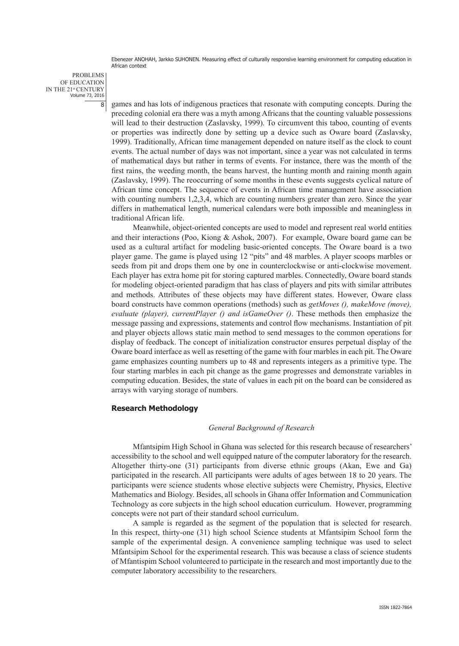PROBLEMS OF EDUCATION IN THE 21<sup>st</sup> CENTURY<br>Volume 73, 2016  $\overline{8}$ 

games and has lots of indigenous practices that resonate with computing concepts. During the preceding colonial era there was a myth among Africans that the counting valuable possessions will lead to their destruction (Zaslavsky, 1999). To circumvent this taboo, counting of events or properties was indirectly done by setting up a device such as Oware board (Zaslavsky, 1999). Traditionally, African time management depended on nature itself as the clock to count events. The actual number of days was not important, since a year was not calculated in terms of mathematical days but rather in terms of events. For instance, there was the month of the first rains, the weeding month, the beans harvest, the hunting month and raining month again (Zaslavsky, 1999). The reoccurring of some months in these events suggests cyclical nature of African time concept. The sequence of events in African time management have association with counting numbers 1,2,3,4, which are counting numbers greater than zero. Since the year differs in mathematical length, numerical calendars were both impossible and meaningless in traditional African life.

Meanwhile, object-oriented concepts are used to model and represent real world entities and their interactions (Poo, Kiong & Ashok, 2007). For example, Oware board game can be used as a cultural artifact for modeling basic-oriented concepts. The Oware board is a two player game. The game is played using 12 "pits" and 48 marbles. A player scoops marbles or seeds from pit and drops them one by one in counterclockwise or anti-clockwise movement. Each player has extra home pit for storing captured marbles. Connectedly, Oware board stands for modeling object-oriented paradigm that has class of players and pits with similar attributes and methods. Attributes of these objects may have different states. However, Oware class board constructs have common operations (methods) such as *getMoves (), makeMove (move), evaluate (player), currentPlayer () and isGameOver ()*. These methods then emphasize the message passing and expressions, statements and control flow mechanisms. Instantiation of pit and player objects allows static main method to send messages to the common operations for display of feedback. The concept of initialization constructor ensures perpetual display of the Oware board interface as well as resetting of the game with four marbles in each pit. The Oware game emphasizes counting numbers up to 48 and represents integers as a primitive type. The four starting marbles in each pit change as the game progresses and demonstrate variables in computing education. Besides, the state of values in each pit on the board can be considered as arrays with varying storage of numbers.

## **Research Methodology**

#### *General Background of Research*

Mfantsipim High School in Ghana was selected for this research because of researchers' accessibility to the school and well equipped nature of the computer laboratory for the research. Altogether thirty-one (31) participants from diverse ethnic groups (Akan, Ewe and Ga) participated in the research. All participants were adults of ages between 18 to 20 years. The participants were science students whose elective subjects were Chemistry, Physics, Elective Mathematics and Biology. Besides, all schools in Ghana offer Information and Communication Technology as core subjects in the high school education curriculum. However, programming concepts were not part of their standard school curriculum.

A sample is regarded as the segment of the population that is selected for research. In this respect, thirty-one (31) high school Science students at Mfantsipim School form the sample of the experimental design. A convenience sampling technique was used to select Mfantsipim School for the experimental research. This was because a class of science students of Mfantispim School volunteered to participate in the research and most importantly due to the computer laboratory accessibility to the researchers.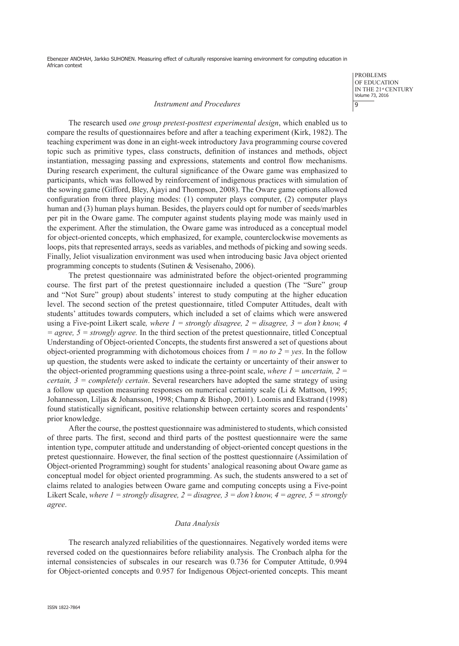#### *Instrument and Procedures*

PROBLEMS OF EDUCATION IN THE 21st CENTURY<br>Volume 73, 2016 9

The research used *one group pretest-posttest experimental design*, which enabled us to compare the results of questionnaires before and after a teaching experiment (Kirk, 1982). The teaching experiment was done in an eight-week introductory Java programming course covered topic such as primitive types, class constructs, definition of instances and methods, object instantiation, messaging passing and expressions, statements and control flow mechanisms. During research experiment, the cultural significance of the Oware game was emphasized to participants, which was followed by reinforcement of indigenous practices with simulation of the sowing game (Gifford, Bley, Ajayi and Thompson, 2008). The Oware game options allowed configuration from three playing modes: (1) computer plays computer, (2) computer plays human and (3) human plays human. Besides, the players could opt for number of seeds/marbles per pit in the Oware game. The computer against students playing mode was mainly used in the experiment. After the stimulation, the Oware game was introduced as a conceptual model for object-oriented concepts, which emphasized, for example, counterclockwise movements as loops, pits that represented arrays, seeds as variables, and methods of picking and sowing seeds. Finally, Jeliot visualization environment was used when introducing basic Java object oriented programming concepts to students (Sutinen & Vesisenaho, 2006).

The pretest questionnaire was administrated before the object-oriented programming course. The first part of the pretest questionnaire included a question (The "Sure" group and "Not Sure" group) about students' interest to study computing at the higher education level. The second section of the pretest questionnaire, titled Computer Attitudes, dealt with students' attitudes towards computers, which included a set of claims which were answered using a Five-point Likert scale*, where 1 = strongly disagree, 2 = disagree, 3 = don't know, 4 = agree, 5 = strongly agree.* In the third section of the pretest questionnaire, titled Conceptual Understanding of Object-oriented Concepts, the students first answered a set of questions about object-oriented programming with dichotomous choices from  $I = no$  to  $2 = yes$ . In the follow up question, the students were asked to indicate the certainty or uncertainty of their answer to the object-oriented programming questions using a three-point scale, *where*  $I = uncertainty$ *, 2 =*  $\frac{1}{I}$ *certain, 3 = completely certain*. Several researchers have adopted the same strategy of using a follow up question measuring responses on numerical certainty scale (Li & Mattson, 1995; Johannesson, Liljas & Johansson, 1998; Champ & Bishop, 2001). Loomis and Ekstrand (1998) found statistically significant, positive relationship between certainty scores and respondents' prior knowledge.

After the course, the posttest questionnaire was administered to students, which consisted of three parts. The first, second and third parts of the posttest questionnaire were the same intention type, computer attitude and understanding of object-oriented concept questions in the pretest questionnaire. However, the final section of the posttest questionnaire (Assimilation of Object-oriented Programming) sought for students' analogical reasoning about Oware game as conceptual model for object oriented programming. As such, the students answered to a set of claims related to analogies between Oware game and computing concepts using a Five-point Likert Scale, *where 1* = *strongly disagree, 2* = *disagree, 3* = *don't know, 4* = *agree, 5* = *strongly agree*.

## *Data Analysis*

The research analyzed reliabilities of the questionnaires. Negatively worded items were reversed coded on the questionnaires before reliability analysis. The Cronbach alpha for the internal consistencies of subscales in our research was 0.736 for Computer Attitude, 0.994 for Object-oriented concepts and 0.957 for Indigenous Object-oriented concepts. This meant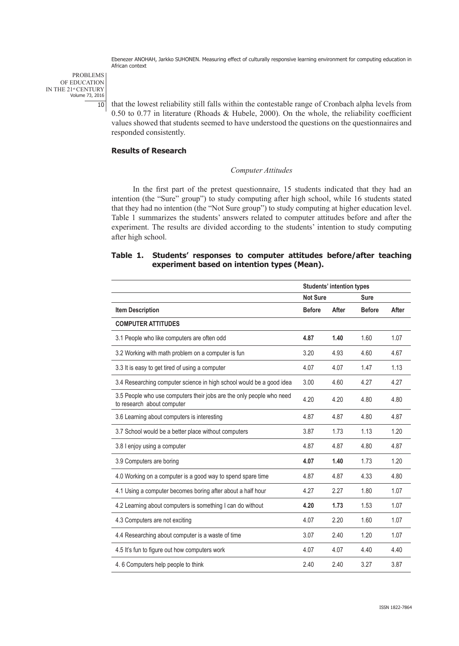PROBLEMS OF EDUCATION IN THE 21<sup>st</sup> CENTURY<br>Volume 73, 2016 10

that the lowest reliability still falls within the contestable range of Cronbach alpha levels from 0.50 to 0.77 in literature (Rhoads & Hubele, 2000). On the whole, the reliability coefficient values showed that students seemed to have understood the questions on the questionnaires and responded consistently.

# **Results of Research**

#### *Computer Attitudes*

In the first part of the pretest questionnaire, 15 students indicated that they had an intention (the "Sure" group") to study computing after high school, while 16 students stated that they had no intention (the "Not Sure group") to study computing at higher education level. Table 1 summarizes the students' answers related to computer attitudes before and after the experiment. The results are divided according to the students' intention to study computing after high school.

# **Table 1. Students' responses to computer attitudes before/after teaching experiment based on intention types (Mean).**

|                                                                                                    | <b>Students' intention types</b> |       |               |       |
|----------------------------------------------------------------------------------------------------|----------------------------------|-------|---------------|-------|
|                                                                                                    | <b>Not Sure</b>                  |       | <b>Sure</b>   |       |
| <b>Item Description</b>                                                                            | <b>Before</b>                    | After | <b>Before</b> | After |
| <b>COMPUTER ATTITUDES</b>                                                                          |                                  |       |               |       |
| 3.1 People who like computers are often odd                                                        | 4.87                             | 1.40  | 1.60          | 1.07  |
| 3.2 Working with math problem on a computer is fun                                                 | 3.20                             | 4.93  | 4.60          | 4.67  |
| 3.3 It is easy to get tired of using a computer                                                    | 4.07                             | 4.07  | 1.47          | 1.13  |
| 3.4 Researching computer science in high school would be a good idea                               | 3.00                             | 4.60  | 4.27          | 4.27  |
| 3.5 People who use computers their jobs are the only people who need<br>to research about computer | 4.20                             | 4.20  | 4.80          | 4.80  |
| 3.6 Learning about computers is interesting                                                        | 4.87                             | 4.87  | 4.80          | 4.87  |
| 3.7 School would be a better place without computers                                               | 3.87                             | 1.73  | 1.13          | 1.20  |
| 3.8 I enjoy using a computer                                                                       | 4.87                             | 4.87  | 4.80          | 4.87  |
| 3.9 Computers are boring                                                                           | 4.07                             | 1.40  | 1.73          | 1.20  |
| 4.0 Working on a computer is a good way to spend spare time                                        | 4.87                             | 4.87  | 4.33          | 4.80  |
| 4.1 Using a computer becomes boring after about a half hour                                        | 4.27                             | 2.27  | 1.80          | 1.07  |
| 4.2 Learning about computers is something I can do without                                         | 4.20                             | 1.73  | 1.53          | 1.07  |
| 4.3 Computers are not exciting                                                                     | 4.07                             | 2.20  | 1.60          | 1.07  |
| 4.4 Researching about computer is a waste of time                                                  | 3.07                             | 2.40  | 1.20          | 1.07  |
| 4.5 It's fun to figure out how computers work                                                      | 4.07                             | 4.07  | 4.40          | 4.40  |
| 4.6 Computers help people to think                                                                 | 2.40                             | 2.40  | 3.27          | 3.87  |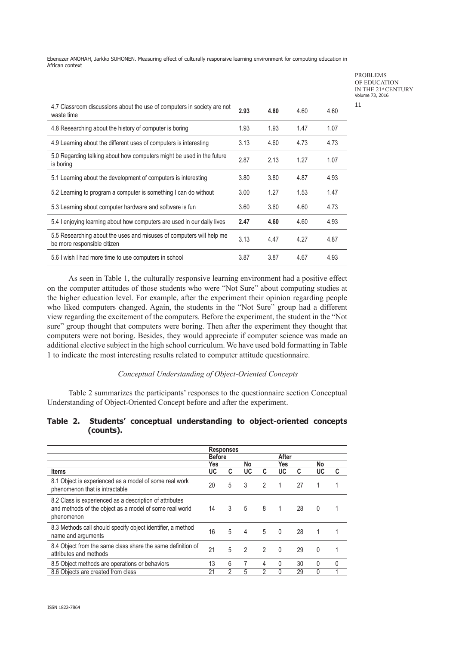> PROBLEMS OF EDUCATION IN THE 21st CENTURY<br>Volume 73, 2016

11

| 4.7 Classroom discussions about the use of computers in society are not<br>waste time               | 2.93 | 4.80 | 4.60 | 4.60 |
|-----------------------------------------------------------------------------------------------------|------|------|------|------|
| 4.8 Researching about the history of computer is boring                                             | 1.93 | 1.93 | 1.47 | 1.07 |
| 4.9 Learning about the different uses of computers is interesting                                   | 3.13 | 4.60 | 4.73 | 4.73 |
| 5.0 Regarding talking about how computers might be used in the future<br>is boring                  | 2.87 | 2.13 | 1.27 | 1.07 |
| 5.1 Learning about the development of computers is interesting                                      | 3.80 | 3.80 | 4.87 | 4.93 |
| 5.2 Learning to program a computer is something I can do without                                    | 3.00 | 1.27 | 1.53 | 1.47 |
| 5.3 Learning about computer hardware and software is fun                                            | 3.60 | 3.60 | 4.60 | 4.73 |
| 5.4 I enjoying learning about how computers are used in our daily lives                             | 2.47 | 4.60 | 4.60 | 4.93 |
| 5.5 Researching about the uses and misuses of computers will help me<br>be more responsible citizen | 3.13 | 4.47 | 4.27 | 4.87 |
| 5.6 I wish I had more time to use computers in school                                               | 3.87 | 3.87 | 4.67 | 4.93 |

As seen in Table 1, the culturally responsive learning environment had a positive effect on the computer attitudes of those students who were "Not Sure" about computing studies at the higher education level. For example, after the experiment their opinion regarding people who liked computers changed. Again, the students in the "Not Sure" group had a different view regarding the excitement of the computers. Before the experiment, the student in the "Not sure" group thought that computers were boring. Then after the experiment they thought that computers were not boring. Besides, they would appreciate if computer science was made an additional elective subject in the high school curriculum. We have used bold formatting in Table 1 to indicate the most interesting results related to computer attitude questionnaire.

## *Conceptual Understanding of Object-Oriented Concepts*

Table 2 summarizes the participants' responses to the questionnaire section Conceptual Understanding of Object-Oriented Concept before and after the experiment.

## **Table 2. Students' conceptual understanding to object-oriented concepts (counts).**

|                                                                                                                                  |               | <b>Responses</b> |                |                |          |    |          |              |
|----------------------------------------------------------------------------------------------------------------------------------|---------------|------------------|----------------|----------------|----------|----|----------|--------------|
|                                                                                                                                  | <b>Before</b> |                  |                |                | After    |    |          |              |
|                                                                                                                                  | Yes           |                  | No             |                | Yes      |    | No       |              |
| <b>Items</b>                                                                                                                     | UC            | C                | UC             | C              | UC       | C  | UC       | C            |
| 8.1 Object is experienced as a model of some real work<br>phenomenon that is intractable                                         | 20            | 5                | 3              | 2              | 1        | 27 |          |              |
| 8.2 Class is experienced as a description of attributes<br>and methods of the object as a model of some real world<br>phenomenon | 14            | 3                | 5              | 8              | 1        | 28 | $\Omega$ |              |
| 8.3 Methods call should specify object identifier, a method<br>name and arguments                                                | 16            | 5                | 4              | 5              | $\Omega$ | 28 | 1        |              |
| 8.4 Object from the same class share the same definition of<br>attributes and methods                                            | 21            | 5                | $\mathfrak{p}$ | $\mathfrak{p}$ | $\Omega$ | 29 | $\Omega$ |              |
| 8.5 Object methods are operations or behaviors                                                                                   | 13            | 6                | 7              | 4              | 0        | 30 | 0        | $\mathbf{0}$ |
| 8.6 Objects are created from class                                                                                               | 21            | 2                | 5              | 2              | 0        | 29 | 0        |              |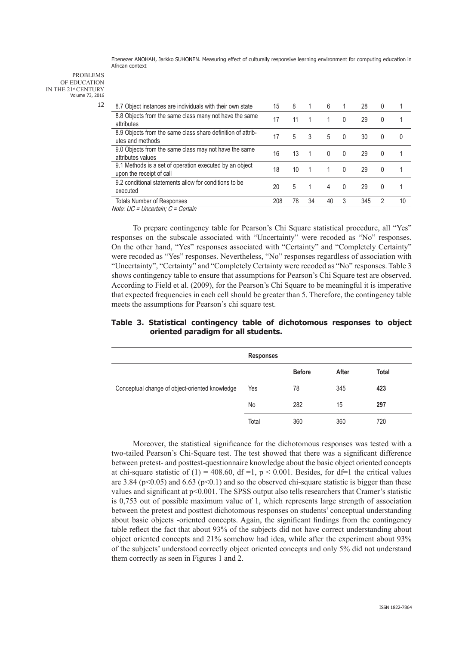PROBLEMS OF EDUCATION IN THE 21<sup>st</sup> CENTURY<br>Volume 73, 2016

12

| 8.7 Object instances are individuals with their own state                           | 15  | 8  |    | 6        |              | 28  | 0             |          |
|-------------------------------------------------------------------------------------|-----|----|----|----------|--------------|-----|---------------|----------|
| 8.8 Objects from the same class many not have the same<br>attributes                | 17  | 11 |    |          | $\mathbf{0}$ | 29  | 0             | 1        |
| 8.9 Objects from the same class share definition of attrib-<br>utes and methods     | 17  | 5  | 3  | 5        | $\mathbf{0}$ | 30  | $\Omega$      | $\Omega$ |
| 9.0 Objects from the same class may not have the same<br>attributes values          | 16  | 13 | 1  | $\Omega$ | 0            | 29  | $\Omega$      |          |
| 9.1 Methods is a set of operation executed by an object<br>upon the receipt of call | 18  | 10 | 1  | 1        | $\Omega$     | 29  | 0             | 1        |
| 9.2 conditional statements allow for conditions to be<br>executed                   | 20  | 5  | 1  | 4        | $\Omega$     | 29  | $\Omega$      | 4        |
| <b>Totals Number of Responses</b>                                                   | 208 | 78 | 34 | 40       | 3            | 345 | $\mathcal{P}$ | 10       |
| Note: UC = Uncertain: C = Certain                                                   |     |    |    |          |              |     |               |          |

To prepare contingency table for Pearson's Chi Square statistical procedure, all "Yes" responses on the subscale associated with "Uncertainty" were recoded as "No" responses. On the other hand, "Yes" responses associated with "Certainty" and "Completely Certainty" were recoded as "Yes" responses. Nevertheless, "No" responses regardless of association with "Uncertainty", "Certainty" and "Completely Certainty were recoded as "No" responses. Table 3 shows contingency table to ensure that assumptions for Pearson's Chi Square test are observed. According to Field et al. (2009), for the Pearson's Chi Square to be meaningful it is imperative that expected frequencies in each cell should be greater than 5. Therefore, the contingency table meets the assumptions for Pearson's chi square test.

# **Table 3. Statistical contingency table of dichotomous responses to object oriented paradigm for all students.**

|                                                | <b>Responses</b> |               |       |       |
|------------------------------------------------|------------------|---------------|-------|-------|
|                                                |                  | <b>Before</b> | After | Total |
| Conceptual change of object-oriented knowledge | Yes              | 78            | 345   | 423   |
|                                                | <b>No</b>        | 282           | 15    | 297   |
|                                                | Total            | 360           | 360   | 720   |

Moreover, the statistical significance for the dichotomous responses was tested with a two-tailed Pearson's Chi-Square test. The test showed that there was a significant difference between pretest- and posttest-questionnaire knowledge about the basic object oriented concepts at chi-square statistic of (1) = 408.60, df =1,  $p < 0.001$ . Besides, for df=1 the critical values are 3.84 ( $p<0.05$ ) and 6.63 ( $p<0.1$ ) and so the observed chi-square statistic is bigger than these values and significant at p<0.001. The SPSS output also tells researchers that Cramer's statistic is 0,753 out of possible maximum value of 1, which represents large strength of association between the pretest and posttest dichotomous responses on students' conceptual understanding about basic objects -oriented concepts. Again, the significant findings from the contingency table reflect the fact that about 93% of the subjects did not have correct understanding about object oriented concepts and 21% somehow had idea, while after the experiment about 93% of the subjects' understood correctly object oriented concepts and only 5% did not understand them correctly as seen in Figures 1 and 2.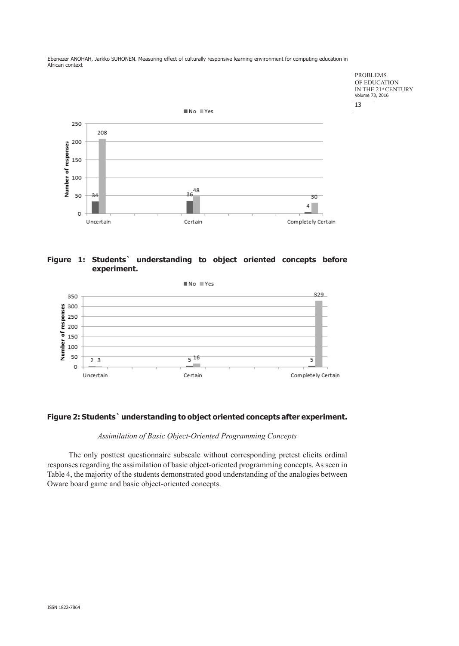

# **Figure 1: Students` understanding to object oriented concepts before experiment.**



# **Figure 2: Students` understanding to object oriented concepts after experiment.**

# *Assimilation of Basic Object-Oriented Programming Concepts*

The only posttest questionnaire subscale without corresponding pretest elicits ordinal responses regarding the assimilation of basic object-oriented programming concepts. As seen in Table 4, the majority of the students demonstrated good understanding of the analogies between Oware board game and basic object-oriented concepts.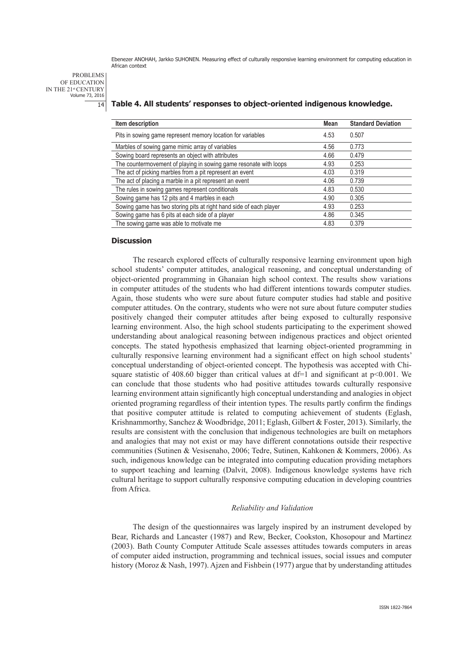PROBLEMS OF EDUCATION IN THE 21<sup>st</sup> CENTURY<br>Volume 73, 2016 14

# **Table 4. All students' responses to object-oriented indigenous knowledge.**

| Item description                                                   | <b>Mean</b> | <b>Standard Deviation</b> |
|--------------------------------------------------------------------|-------------|---------------------------|
| Pits in sowing game represent memory location for variables        | 4.53        | 0.507                     |
| Marbles of sowing game mimic array of variables                    | 4.56        | 0.773                     |
| Sowing board represents an object with attributes                  | 4.66        | 0.479                     |
| The countermovement of playing in sowing game resonate with loops  | 4.93        | 0.253                     |
| The act of picking marbles from a pit represent an event           | 4.03        | 0.319                     |
| The act of placing a marble in a pit represent an event            | 4.06        | 0.739                     |
| The rules in sowing games represent conditionals                   | 4.83        | 0.530                     |
| Sowing game has 12 pits and 4 marbles in each                      | 4.90        | 0.305                     |
| Sowing game has two storing pits at right hand side of each player | 4.93        | 0.253                     |
| Sowing game has 6 pits at each side of a player                    | 4.86        | 0.345                     |
| The sowing game was able to motivate me                            | 4.83        | 0.379                     |

#### **Discussion**

The research explored effects of culturally responsive learning environment upon high school students' computer attitudes, analogical reasoning, and conceptual understanding of object-oriented programming in Ghanaian high school context. The results show variations in computer attitudes of the students who had different intentions towards computer studies. Again, those students who were sure about future computer studies had stable and positive computer attitudes. On the contrary, students who were not sure about future computer studies positively changed their computer attitudes after being exposed to culturally responsive learning environment. Also, the high school students participating to the experiment showed understanding about analogical reasoning between indigenous practices and object oriented concepts. The stated hypothesis emphasized that learning object-oriented programming in culturally responsive learning environment had a significant effect on high school students' conceptual understanding of object-oriented concept. The hypothesis was accepted with Chisquare statistic of 408.60 bigger than critical values at  $df=1$  and significant at  $p<0.001$ . We can conclude that those students who had positive attitudes towards culturally responsive learning environment attain significantly high conceptual understanding and analogies in object oriented programing regardless of their intention types. The results partly confirm the findings that positive computer attitude is related to computing achievement of students (Eglash, Krishnammorthy, Sanchez & Woodbridge, 2011; Eglash, Gilbert & Foster, 2013). Similarly, the results are consistent with the conclusion that indigenous technologies are built on metaphors and analogies that may not exist or may have different connotations outside their respective communities (Sutinen & Vesisenaho, 2006; Tedre, Sutinen, Kahkonen & Kommers, 2006). As such, indigenous knowledge can be integrated into computing education providing metaphors to support teaching and learning (Dalvit, 2008). Indigenous knowledge systems have rich cultural heritage to support culturally responsive computing education in developing countries from Africa.

#### *Reliability and Validation*

The design of the questionnaires was largely inspired by an instrument developed by Bear, Richards and Lancaster (1987) and Rew, Becker, Cookston, Khosopour and Martinez (2003). Bath County Computer Attitude Scale assesses attitudes towards computers in areas of computer aided instruction, programming and technical issues, social issues and computer history (Moroz & Nash, 1997). Ajzen and Fishbein (1977) argue that by understanding attitudes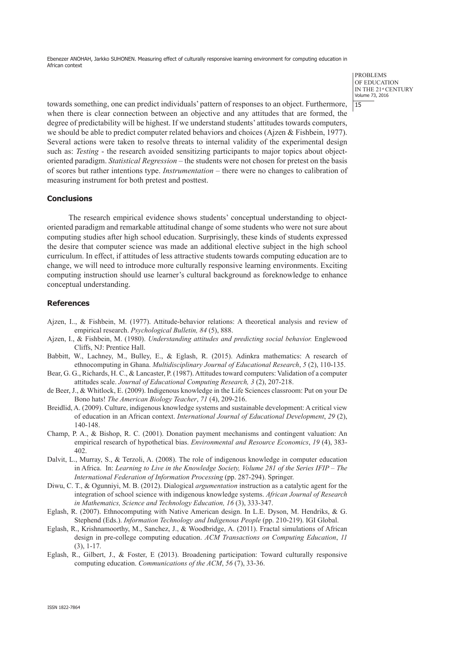> PROBLEMS OF EDUCATION IN THE 21st CENTURY Volume 73, 2016 15

towards something, one can predict individuals' pattern of responses to an object. Furthermore, when there is clear connection between an objective and any attitudes that are formed, the degree of predictability will be highest. If we understand students' attitudes towards computers, we should be able to predict computer related behaviors and choices (Ajzen & Fishbein, 1977). Several actions were taken to resolve threats to internal validity of the experimental design such as: *Testing* - the research avoided sensitizing participants to major topics about objectoriented paradigm. *Statistical Regression* – the students were not chosen for pretest on the basis of scores but rather intentions type. *Instrumentation* – there were no changes to calibration of measuring instrument for both pretest and posttest.

#### **Conclusions**

The research empirical evidence shows students' conceptual understanding to objectoriented paradigm and remarkable attitudinal change of some students who were not sure about computing studies after high school education. Surprisingly, these kinds of students expressed the desire that computer science was made an additional elective subject in the high school curriculum. In effect, if attitudes of less attractive students towards computing education are to change, we will need to introduce more culturally responsive learning environments. Exciting computing instruction should use learner's cultural background as foreknowledge to enhance conceptual understanding.

#### **References**

- Ajzen, I.., & Fishbein, M. (1977). Attitude-behavior relations: A theoretical analysis and review of empirical research. *Psychological Bulletin, 84* (5), 888.
- Ajzen, I., & Fishbein, M. (1980). *Understanding attitudes and predicting social behavior.* Englewood Cliffs, NJ: Prentice Hall.
- Babbitt, W., Lachney, M., Bulley, E., & Eglash, R. (2015). Adinkra mathematics: A research of ethnocomputing in Ghana. *Multidisciplinary Journal of Educational Research*, *5* (2), 110-135.
- Bear, G. G., Richards, H. C., & Lancaster, P. (1987). Attitudes toward computers: Validation of a computer attitudes scale. *Journal of Educational Computing Research, 3* (2), 207-218.
- de Beer, J., & Whitlock, E. (2009). Indigenous knowledge in the Life Sciences classroom: Put on your De Bono hats! *The American Biology Teacher*, *71* (4), 209-216.
- Breidlid, A. (2009). Culture, indigenous knowledge systems and sustainable development: A critical view of education in an African context. *International Journal of Educational Development*, *29* (2), 140-148.
- Champ, P. A., & Bishop, R. C. (2001). Donation payment mechanisms and contingent valuation: An empirical research of hypothetical bias. *Environmental and Resource Economics*, *19* (4), 383- 402.
- Dalvit, L., Murray, S., & Terzoli, A. (2008). The role of indigenous knowledge in computer education in Africa. In: *Learning to Live in the Knowledge Society, Volume 281 of the Series IFIP – The International Federation of Information Processing* (pp. 287-294). Springer.
- Diwu, C. T., & Ogunniyi, M. B. (2012). Dialogical *argumentation* instruction as a catalytic agent for the integration of school science with indigenous knowledge systems. *African Journal of Research in Mathematics, Science and Technology Education, 16* (3), 333-347.
- Eglash, R. (2007). Ethnocomputing with Native American design. In L.E. Dyson, M. Hendriks, & G. Stephend (Eds.). *Information Technology and Indigenous People* (pp. 210-219). IGI Global.
- Eglash, R., Krishnamoorthy, M., Sanchez, J., & Woodbridge, A. (2011). Fractal simulations of African design in pre-college computing education. *ACM Transactions on Computing Education*, *11* (3), 1-17.
- Eglash, R., Gilbert, J., & Foster, E (2013). Broadening participation: Toward culturally responsive computing education. *Communications of the ACM*, *56* (7), 33-36.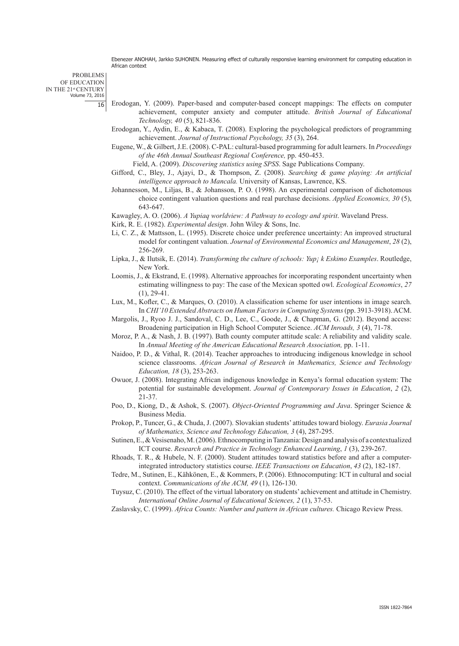PROBLEMS OF EDUCATION IN THE 21<sup>st</sup> CENTURY<br>Volume 73, 2016 16

- Erodogan, Y. (2009). Paper-based and computer-based concept mappings: The effects on computer achievement, computer anxiety and computer attitude. *British Journal of Educational Technology, 40* (5), 821-836.
- Erodogan, Y., Aydin, E., & Kabaca, T. (2008). Exploring the psychological predictors of programming achievement. *Journal of Instructional Psychology, 35* (3), 264.
- Eugene, W., & Gilbert, J.E. (2008). C-PAL: cultural-based programming for adult learners. In *Proceedings of the 46th Annual Southeast Regional Conference,* pp. 450-453.

Field, A. (2009). *Discovering statistics using SPSS*. Sage Publications Company.

- Gifford, C., Bley, J., Ajayi, D., & Thompson, Z. (2008). *Searching & game playing: An artificial intelligence approach to Mancala.* University of Kansas, Lawrence, KS.
- Johannesson, M., Liljas, B., & Johansson, P. O. (1998). An experimental comparison of dichotomous choice contingent valuation questions and real purchase decisions. *Applied Economics, 30* (5), 643-647.

Kawagley, A. O. (2006). *A Yupiaq worldview: A Pathway to ecology and spirit*. Waveland Press.

Kirk, R. E. (1982). *Experimental design*. John Wiley & Sons, Inc.

- Li, C. Z., & Mattsson, L. (1995). Discrete choice under preference uncertainty: An improved structural model for contingent valuation. *Journal of Environmental Economics and Management*, *28* (2), 256-269.
- Lipka, J., & Ilutsik, E. (2014). *Transforming the culture of schools: Yup¡ k Eskimo Examples*. Routledge, New York.
- Loomis, J., & Ekstrand, E. (1998). Alternative approaches for incorporating respondent uncertainty when estimating willingness to pay: The case of the Mexican spotted owl. *Ecological Economics*, *27* (1), 29-41.
- Lux, M., Kofler, C., & Marques, O. (2010). A classification scheme for user intentions in image search. In *CHI'10 Extended Abstracts on Human Factors in Computing Systems* (pp. 3913-3918). ACM.
- Margolis, J., Ryoo J. J., Sandoval, C. D., Lee, C., Goode, J., & Chapman, G. (2012). Beyond access: Broadening participation in High School Computer Science. *ACM Inroads, 3* (4), 71-78.
- Moroz, P. A., & Nash, J. B. (1997). Bath county computer attitude scale: A reliability and validity scale. In *Annual Meeting of the American Educational Research Association,* pp. 1-11.
- Naidoo, P. D., & Vithal, R. (2014). Teacher approaches to introducing indigenous knowledge in school science classrooms. *African Journal of Research in Mathematics, Science and Technology Education, 18* (3), 253-263.
- Owuor, J. (2008). Integrating African indigenous knowledge in Kenya's formal education system: The potential for sustainable development. *Journal of Contemporary Issues in Education*, *2* (2), 21-37.
- Poo, D., Kiong, D., & Ashok, S. (2007). *Object-Oriented Programming and Java*. Springer Science & Business Media.
- Prokop, P., Tuncer, G., & Chuda, J. (2007). Slovakian students' attitudes toward biology. *Eurasia Journal of Mathematics, Science and Technology Education, 3* (4), 287-295.
- Sutinen, E., & Vesisenaho, M. (2006). Ethnocomputing in Tanzania: Design and analysis of a contextualized ICT course. *Research and Practice in Technology Enhanced Learning*, *1* (3), 239-267.
- Rhoads, T. R., & Hubele, N. F. (2000). Student attitudes toward statistics before and after a computerintegrated introductory statistics course. *IEEE Transactions on Education*, *43* (2), 182-187.
- Tedre, M., Sutinen, E., Kähkönen, E., & Kommers, P. (2006). Ethnocomputing: ICT in cultural and social context. *Communications of the ACM, 49* (1), 126-130.
- Tuysuz, C. (2010). The effect of the virtual laboratory on students' achievement and attitude in Chemistry. *International Online Journal of Educational Sciences, 2* (1), 37-53.

Zaslavsky, C. (1999). *Africa Counts: Number and pattern in African cultures.* Chicago Review Press.